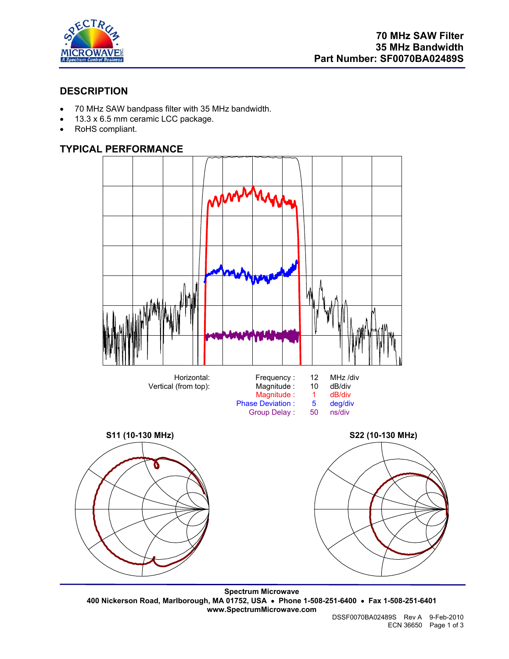

# **DESCRIPTION**

- 70 MHz SAW bandpass filter with 35 MHz bandwidth.
- 13.3 x 6.5 mm ceramic LCC package.
- RoHS compliant.

# **TYPICAL PERFORMANCE**



**Spectrum Microwave 400 Nickerson Road, Marlborough, MA 01752, USA** • **Phone 1-508-251-6400** • **Fax 1-508-251-6401 www.SpectrumMicrowave.com**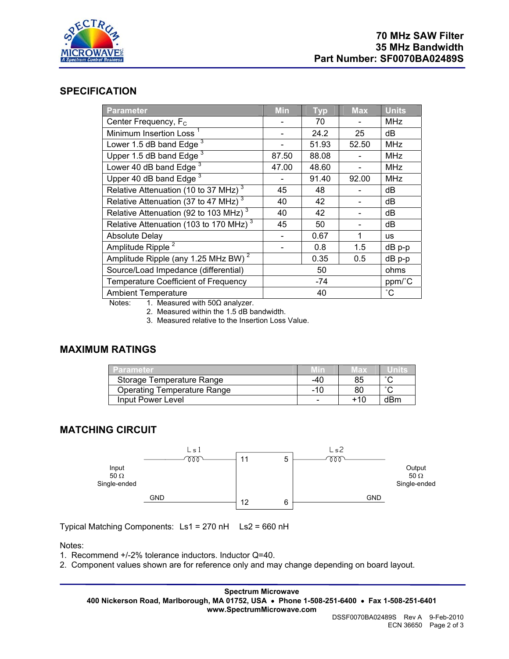

## **SPECIFICATION**

| <b>Parameter</b>                                     | <b>Min</b> | <b>Typ</b> | <b>Max</b> | <b>Units</b>    |
|------------------------------------------------------|------------|------------|------------|-----------------|
| Center Frequency, F <sub>c</sub>                     |            | 70         |            | <b>MHz</b>      |
| Minimum Insertion Loss <sup>1</sup>                  |            | 24.2       | 25         | dB              |
| Lower 1.5 dB band Edge <sup>3</sup>                  |            | 51.93      | 52.50      | <b>MHz</b>      |
| Upper 1.5 dB band Edge $3$                           | 87.50      | 88.08      |            | <b>MHz</b>      |
| Lower 40 dB band Edge <sup>3</sup>                   | 47.00      | 48.60      |            | <b>MHz</b>      |
| Upper 40 dB band Edge <sup>3</sup>                   |            | 91.40      | 92.00      | <b>MHz</b>      |
| Relative Attenuation (10 to 37 MHz) $3$              | 45         | 48         |            | dB              |
| Relative Attenuation (37 to 47 MHz) <sup>3</sup>     | 40         | 42         |            | dB              |
| Relative Attenuation (92 to 103 MHz) <sup>3</sup>    | 40         | 42         |            | dB              |
| Relative Attenuation (103 to $170$ MHz) <sup>3</sup> | 45         | 50         |            | dB              |
| <b>Absolute Delay</b>                                |            | 0.67       | 1          | <b>us</b>       |
| Amplitude Ripple <sup>2</sup>                        |            | 0.8        | 1.5        | dB p-p          |
| Amplitude Ripple (any 1.25 MHz BW) <sup>2</sup>      |            | 0.35       | 0.5        | $dB$ p-p        |
| Source/Load Impedance (differential)                 |            | 50         |            | ohms            |
| Temperature Coefficient of Frequency                 |            | -74        |            | ppm/°C          |
| <b>Ambient Temperature</b>                           |            | 40         |            | $\rm ^{\circ}C$ |

Notes: 1. Measured with  $50Ω$  analyzer.

2. Measured within the 1.5 dB bandwidth.

3. Measured relative to the Insertion Loss Value.

### **MAXIMUM RATINGS**

| <b>Parameter</b>                   |     | Max |        |
|------------------------------------|-----|-----|--------|
| Storage Temperature Range          | -40 | 85  | $\sim$ |
| <b>Operating Temperature Range</b> | -10 | 80  | $\sim$ |
| Input Power Level                  |     | +10 | dBm    |

# **MATCHING CIRCUIT**



Typical Matching Components: Ls1 = 270 nH Ls2 = 660 nH

Notes:

1. Recommend +/-2% tolerance inductors. Inductor Q=40.

2. Component values shown are for reference only and may change depending on board layout.